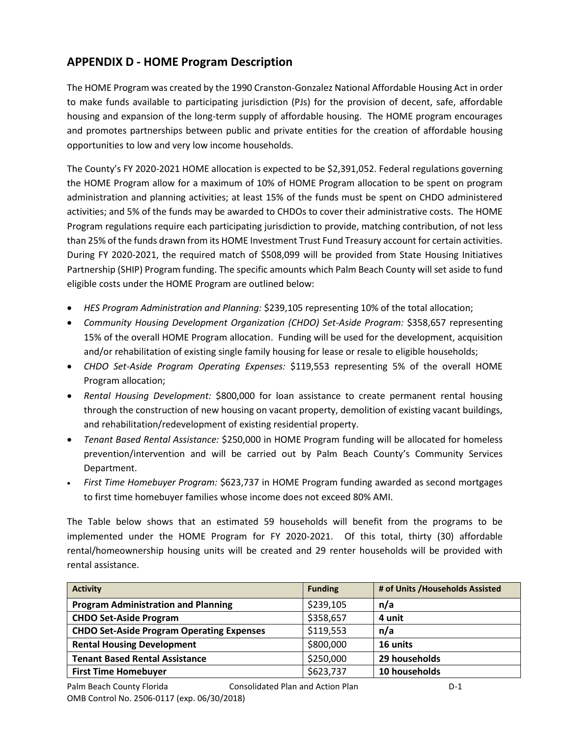# **APPENDIX D - HOME Program Description**

The HOME Program was created by the 1990 Cranston-Gonzalez National Affordable Housing Act in order to make funds available to participating jurisdiction (PJs) for the provision of decent, safe, affordable housing and expansion of the long-term supply of affordable housing. The HOME program encourages and promotes partnerships between public and private entities for the creation of affordable housing opportunities to low and very low income households.

The County's FY 2020-2021 HOME allocation is expected to be \$2,391,052. Federal regulations governing the HOME Program allow for a maximum of 10% of HOME Program allocation to be spent on program administration and planning activities; at least 15% of the funds must be spent on CHDO administered activities; and 5% of the funds may be awarded to CHDOs to cover their administrative costs. The HOME Program regulations require each participating jurisdiction to provide, matching contribution, of not less than 25% of the funds drawn from its HOME Investment Trust Fund Treasury account for certain activities. During FY 2020-2021, the required match of \$508,099 will be provided from State Housing Initiatives Partnership (SHIP) Program funding. The specific amounts which Palm Beach County will set aside to fund eligible costs under the HOME Program are outlined below:

- *HES Program Administration and Planning:* \$239,105 representing 10% of the total allocation;
- *Community Housing Development Organization (CHDO) Set-Aside Program:* \$358,657 representing 15% of the overall HOME Program allocation. Funding will be used for the development, acquisition and/or rehabilitation of existing single family housing for lease or resale to eligible households;
- *CHDO Set-Aside Program Operating Expenses:* \$119,553 representing 5% of the overall HOME Program allocation;
- *Rental Housing Development:* \$800,000 for loan assistance to create permanent rental housing through the construction of new housing on vacant property, demolition of existing vacant buildings, and rehabilitation/redevelopment of existing residential property.
- *Tenant Based Rental Assistance:* \$250,000 in HOME Program funding will be allocated for homeless prevention/intervention and will be carried out by Palm Beach County's Community Services Department.
- *First Time Homebuyer Program:* \$623,737 in HOME Program funding awarded as second mortgages to first time homebuyer families whose income does not exceed 80% AMI.

The Table below shows that an estimated 59 households will benefit from the programs to be implemented under the HOME Program for FY 2020-2021. Of this total, thirty (30) affordable rental/homeownership housing units will be created and 29 renter households will be provided with rental assistance.

| <b>Activity</b>                                  | <b>Funding</b> | # of Units / Households Assisted |
|--------------------------------------------------|----------------|----------------------------------|
| <b>Program Administration and Planning</b>       | \$239,105      | n/a                              |
| <b>CHDO Set-Aside Program</b>                    | \$358,657      | 4 unit                           |
| <b>CHDO Set-Aside Program Operating Expenses</b> | \$119,553      | n/a                              |
| <b>Rental Housing Development</b>                | \$800,000      | 16 units                         |
| <b>Tenant Based Rental Assistance</b>            | \$250,000      | 29 households                    |
| <b>First Time Homebuyer</b>                      | \$623,737      | 10 households                    |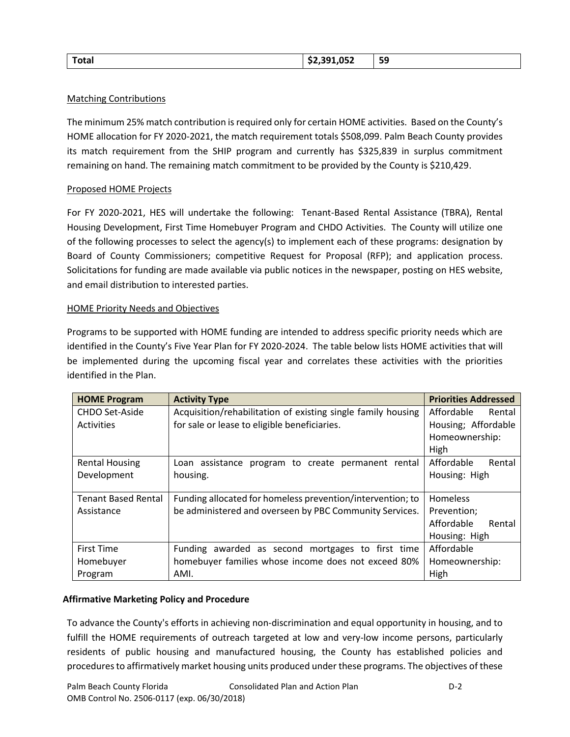| Total | \$2,391,052 | 59<br><u>JJ</u> |
|-------|-------------|-----------------|
|       |             |                 |

## Matching Contributions

The minimum 25% match contribution is required only for certain HOME activities. Based on the County's HOME allocation for FY 2020-2021, the match requirement totals \$508,099. Palm Beach County provides its match requirement from the SHIP program and currently has \$325,839 in surplus commitment remaining on hand. The remaining match commitment to be provided by the County is \$210,429.

## Proposed HOME Projects

For FY 2020-2021, HES will undertake the following: Tenant-Based Rental Assistance (TBRA), Rental Housing Development, First Time Homebuyer Program and CHDO Activities. The County will utilize one of the following processes to select the agency(s) to implement each of these programs: designation by Board of County Commissioners; competitive Request for Proposal (RFP); and application process. Solicitations for funding are made available via public notices in the newspaper, posting on HES website, and email distribution to interested parties.

#### HOME Priority Needs and Objectives

Programs to be supported with HOME funding are intended to address specific priority needs which are identified in the County's Five Year Plan for FY 2020-2024. The table below lists HOME activities that will be implemented during the upcoming fiscal year and correlates these activities with the priorities identified in the Plan.

| <b>HOME Program</b>        | <b>Activity Type</b>                                         | <b>Priorities Addressed</b> |
|----------------------------|--------------------------------------------------------------|-----------------------------|
| CHDO Set-Aside             | Acquisition/rehabilitation of existing single family housing | Affordable<br>Rental        |
| Activities                 | for sale or lease to eligible beneficiaries.                 | Housing; Affordable         |
|                            |                                                              | Homeownership:              |
|                            |                                                              | High                        |
| <b>Rental Housing</b>      | Loan assistance program to create permanent rental           | Affordable<br>Rental        |
| Development                | housing.                                                     | Housing: High               |
|                            |                                                              |                             |
| <b>Tenant Based Rental</b> | Funding allocated for homeless prevention/intervention; to   | Homeless                    |
| Assistance                 | be administered and overseen by PBC Community Services.      | Prevention;                 |
|                            |                                                              | Affordable<br>Rental        |
|                            |                                                              | Housing: High               |
| <b>First Time</b>          | Funding awarded as second mortgages to first time            | Affordable                  |
| Homebuyer                  | homebuyer families whose income does not exceed 80%          | Homeownership:              |
| Program                    | AMI.                                                         | High                        |

# **Affirmative Marketing Policy and Procedure**

To advance the County's efforts in achieving non-discrimination and equal opportunity in housing, and to fulfill the HOME requirements of outreach targeted at low and very-low income persons, particularly residents of public housing and manufactured housing, the County has established policies and procedures to affirmatively market housing units produced under these programs. The objectives of these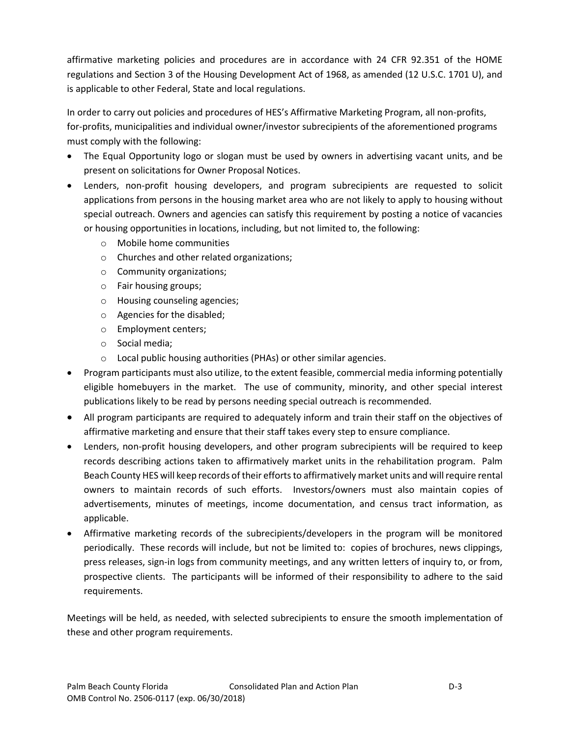affirmative marketing policies and procedures are in accordance with 24 CFR 92.351 of the HOME regulations and Section 3 of the Housing Development Act of 1968, as amended (12 U.S.C. 1701 U), and is applicable to other Federal, State and local regulations.

In order to carry out policies and procedures of HES's Affirmative Marketing Program, all non-profits, for-profits, municipalities and individual owner/investor subrecipients of the aforementioned programs must comply with the following:

- The Equal Opportunity logo or slogan must be used by owners in advertising vacant units, and be present on solicitations for Owner Proposal Notices.
- Lenders, non-profit housing developers, and program subrecipients are requested to solicit applications from persons in the housing market area who are not likely to apply to housing without special outreach. Owners and agencies can satisfy this requirement by posting a notice of vacancies or housing opportunities in locations, including, but not limited to, the following:
	- o Mobile home communities
	- o Churches and other related organizations;
	- o Community organizations;
	- o Fair housing groups;
	- o Housing counseling agencies;
	- o Agencies for the disabled;
	- o Employment centers;
	- o Social media;
	- o Local public housing authorities (PHAs) or other similar agencies.
- Program participants must also utilize, to the extent feasible, commercial media informing potentially eligible homebuyers in the market. The use of community, minority, and other special interest publications likely to be read by persons needing special outreach is recommended.
- All program participants are required to adequately inform and train their staff on the objectives of affirmative marketing and ensure that their staff takes every step to ensure compliance.
- Lenders, non-profit housing developers, and other program subrecipients will be required to keep records describing actions taken to affirmatively market units in the rehabilitation program. Palm Beach County HES will keep records of their efforts to affirmatively market units and will require rental owners to maintain records of such efforts. Investors/owners must also maintain copies of advertisements, minutes of meetings, income documentation, and census tract information, as applicable.
- Affirmative marketing records of the subrecipients/developers in the program will be monitored periodically. These records will include, but not be limited to: copies of brochures, news clippings, press releases, sign-in logs from community meetings, and any written letters of inquiry to, or from, prospective clients. The participants will be informed of their responsibility to adhere to the said requirements.

Meetings will be held, as needed, with selected subrecipients to ensure the smooth implementation of these and other program requirements.